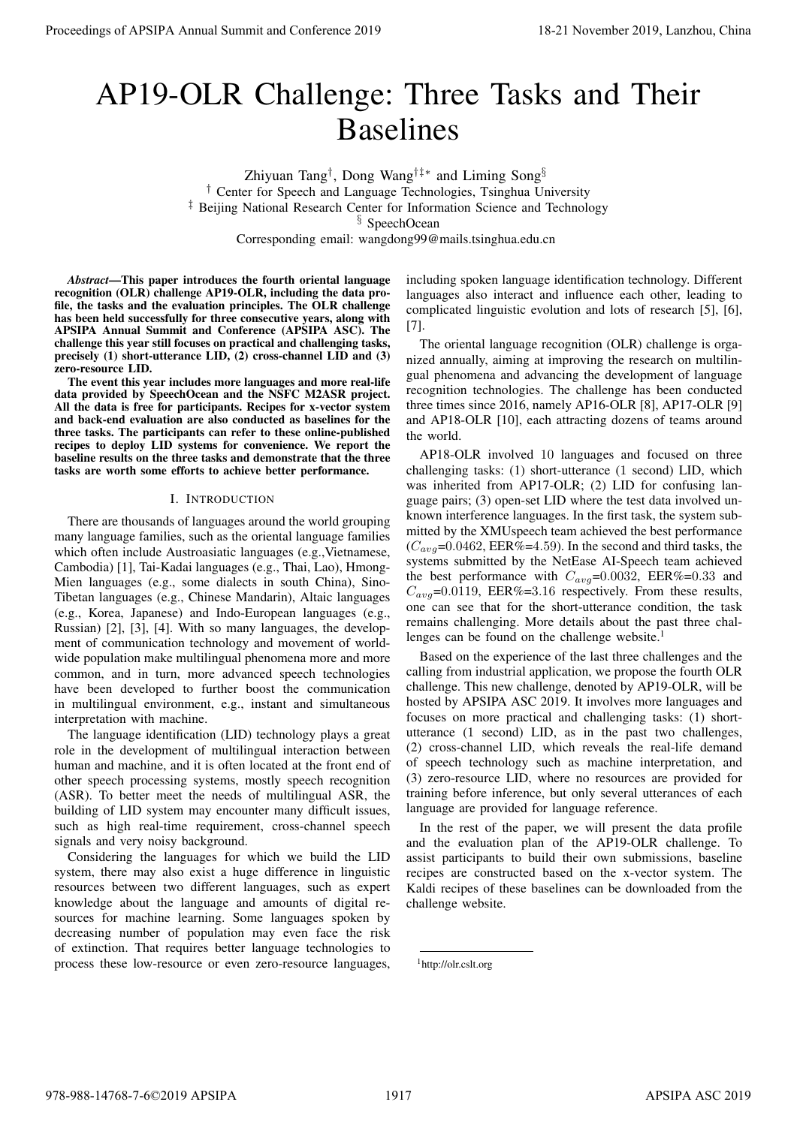# AP19-OLR Challenge: Three Tasks and Their Baselines

Zhiyuan Tang† , Dong Wang†‡∗ and Liming Song§ † Center for Speech and Language Technologies, Tsinghua University <sup>‡</sup> Beijing National Research Center for Information Science and Technology § SpeechOcean

Corresponding email: wangdong99@mails.tsinghua.edu.cn

*Abstract*—This paper introduces the fourth oriental language recognition (OLR) challenge AP19-OLR, including the data profile, the tasks and the evaluation principles. The OLR challenge has been held successfully for three consecutive years, along with APSIPA Annual Summit and Conference (APSIPA ASC). The challenge this year still focuses on practical and challenging tasks, precisely (1) short-utterance LID, (2) cross-channel LID and (3) zero-resource LID.

The event this year includes more languages and more real-life data provided by SpeechOcean and the NSFC M2ASR project. All the data is free for participants. Recipes for x-vector system and back-end evaluation are also conducted as baselines for the three tasks. The participants can refer to these online-published recipes to deploy LID systems for convenience. We report the baseline results on the three tasks and demonstrate that the three tasks are worth some efforts to achieve better performance.

# I. INTRODUCTION

There are thousands of languages around the world grouping many language families, such as the oriental language families which often include Austroasiatic languages (e.g.,Vietnamese, Cambodia) [1], Tai-Kadai languages (e.g., Thai, Lao), Hmong-Mien languages (e.g., some dialects in south China), Sino-Tibetan languages (e.g., Chinese Mandarin), Altaic languages (e.g., Korea, Japanese) and Indo-European languages (e.g., Russian) [2], [3], [4]. With so many languages, the development of communication technology and movement of worldwide population make multilingual phenomena more and more common, and in turn, more advanced speech technologies have been developed to further boost the communication in multilingual environment, e.g., instant and simultaneous interpretation with machine. Proceedings of APSIPA Annual Summit at China 978-988-1481. Three Cassions of APSIPA Annual Summit and Conference 2019, Lanzibus of Langible Conference 2019, Lanzibus of Langible Conference 2019, Lanzibus of Langible Confe

The language identification (LID) technology plays a great role in the development of multilingual interaction between human and machine, and it is often located at the front end of other speech processing systems, mostly speech recognition (ASR). To better meet the needs of multilingual ASR, the building of LID system may encounter many difficult issues, such as high real-time requirement, cross-channel speech signals and very noisy background.

Considering the languages for which we build the LID system, there may also exist a huge difference in linguistic resources between two different languages, such as expert knowledge about the language and amounts of digital resources for machine learning. Some languages spoken by decreasing number of population may even face the risk of extinction. That requires better language technologies to process these low-resource or even zero-resource languages,

including spoken language identification technology. Different languages also interact and influence each other, leading to complicated linguistic evolution and lots of research [5], [6], [7].

The oriental language recognition (OLR) challenge is organized annually, aiming at improving the research on multilingual phenomena and advancing the development of language recognition technologies. The challenge has been conducted three times since 2016, namely AP16-OLR [8], AP17-OLR [9] and AP18-OLR [10], each attracting dozens of teams around the world.

AP18-OLR involved 10 languages and focused on three challenging tasks: (1) short-utterance (1 second) LID, which was inherited from AP17-OLR; (2) LID for confusing language pairs; (3) open-set LID where the test data involved unknown interference languages. In the first task, the system submitted by the XMUspeech team achieved the best performance  $(C_{avg}=0.0462, EER\% = 4.59)$ . In the second and third tasks, the systems submitted by the NetEase AI-Speech team achieved the best performance with  $C_{avg}=0.0032$ , EER%=0.33 and  $C_{avg}$ =0.0119, EER%=3.16 respectively. From these results, one can see that for the short-utterance condition, the task remains challenging. More details about the past three challenges can be found on the challenge website. $<sup>1</sup>$ </sup>

Based on the experience of the last three challenges and the calling from industrial application, we propose the fourth OLR challenge. This new challenge, denoted by AP19-OLR, will be hosted by APSIPA ASC 2019. It involves more languages and focuses on more practical and challenging tasks: (1) shortutterance (1 second) LID, as in the past two challenges, (2) cross-channel LID, which reveals the real-life demand of speech technology such as machine interpretation, and (3) zero-resource LID, where no resources are provided for training before inference, but only several utterances of each language are provided for language reference.

In the rest of the paper, we will present the data profile and the evaluation plan of the AP19-OLR challenge. To assist participants to build their own submissions, baseline recipes are constructed based on the x-vector system. The Kaldi recipes of these baselines can be downloaded from the challenge website.

<sup>1</sup>http://olr.cslt.org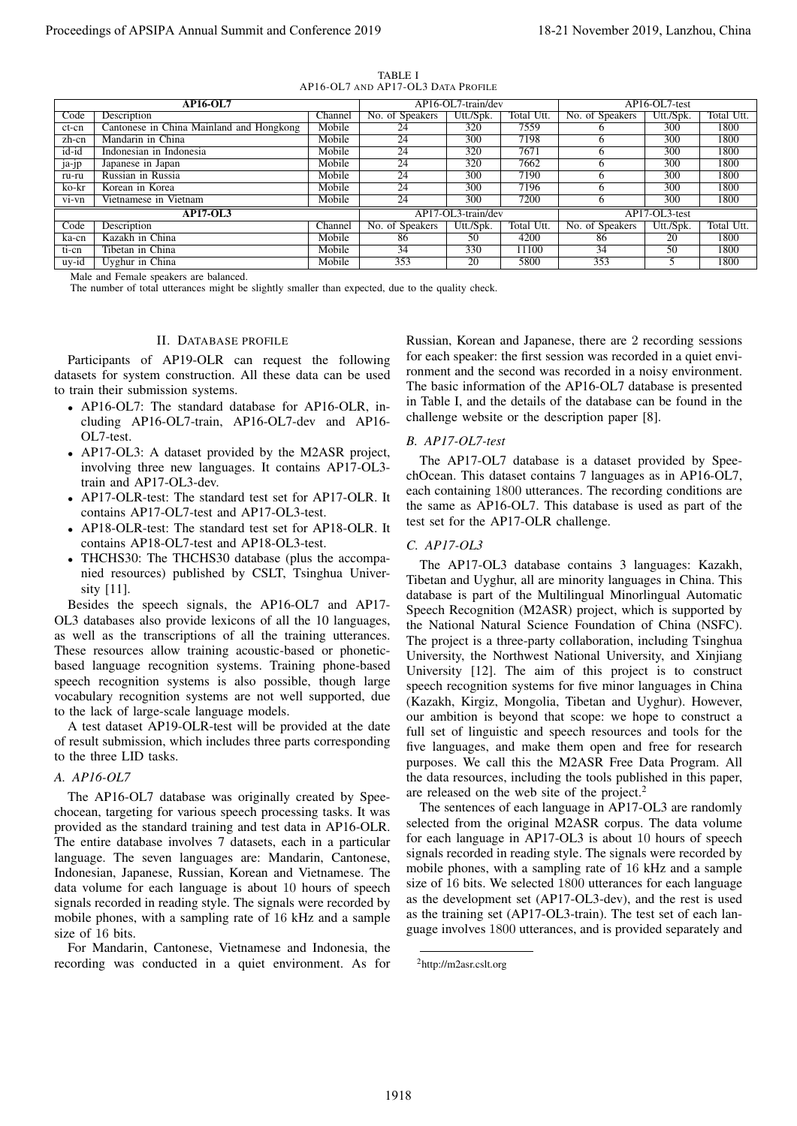| Proceedings of APSIPA Annual Summit and Conference 2019                                                                                                                                                                                                                                                                                                                                                                                                                                                                                                                                                                                                                                                                                                                                                                                                                                                                                                                                                                                                                                                                                                                                                                                                                                                                                                                                                                                                                                                                                                                                                                                                                                                                                                                                                                                                                                       |                  |                                    |                                                                                                                 |              | 18-21 November 2019, Lanzhou, China                                                                                                                                                                                                                                                                                                                                                                                                                                                                                                                                                                                                                                                                                                                                                                                                                                                                                                                                                                                                                                                                                                                                                                                                                                                                                                                                                                                                                                                                                                                                                                                                                                                                                                                                                                                                                                   |                |              |
|-----------------------------------------------------------------------------------------------------------------------------------------------------------------------------------------------------------------------------------------------------------------------------------------------------------------------------------------------------------------------------------------------------------------------------------------------------------------------------------------------------------------------------------------------------------------------------------------------------------------------------------------------------------------------------------------------------------------------------------------------------------------------------------------------------------------------------------------------------------------------------------------------------------------------------------------------------------------------------------------------------------------------------------------------------------------------------------------------------------------------------------------------------------------------------------------------------------------------------------------------------------------------------------------------------------------------------------------------------------------------------------------------------------------------------------------------------------------------------------------------------------------------------------------------------------------------------------------------------------------------------------------------------------------------------------------------------------------------------------------------------------------------------------------------------------------------------------------------------------------------------------------------|------------------|------------------------------------|-----------------------------------------------------------------------------------------------------------------|--------------|-----------------------------------------------------------------------------------------------------------------------------------------------------------------------------------------------------------------------------------------------------------------------------------------------------------------------------------------------------------------------------------------------------------------------------------------------------------------------------------------------------------------------------------------------------------------------------------------------------------------------------------------------------------------------------------------------------------------------------------------------------------------------------------------------------------------------------------------------------------------------------------------------------------------------------------------------------------------------------------------------------------------------------------------------------------------------------------------------------------------------------------------------------------------------------------------------------------------------------------------------------------------------------------------------------------------------------------------------------------------------------------------------------------------------------------------------------------------------------------------------------------------------------------------------------------------------------------------------------------------------------------------------------------------------------------------------------------------------------------------------------------------------------------------------------------------------------------------------------------------------|----------------|--------------|
|                                                                                                                                                                                                                                                                                                                                                                                                                                                                                                                                                                                                                                                                                                                                                                                                                                                                                                                                                                                                                                                                                                                                                                                                                                                                                                                                                                                                                                                                                                                                                                                                                                                                                                                                                                                                                                                                                               |                  | TABLE I                            |                                                                                                                 |              |                                                                                                                                                                                                                                                                                                                                                                                                                                                                                                                                                                                                                                                                                                                                                                                                                                                                                                                                                                                                                                                                                                                                                                                                                                                                                                                                                                                                                                                                                                                                                                                                                                                                                                                                                                                                                                                                       |                |              |
|                                                                                                                                                                                                                                                                                                                                                                                                                                                                                                                                                                                                                                                                                                                                                                                                                                                                                                                                                                                                                                                                                                                                                                                                                                                                                                                                                                                                                                                                                                                                                                                                                                                                                                                                                                                                                                                                                               |                  | AP16-OL7 AND AP17-OL3 DATA PROFILE |                                                                                                                 |              |                                                                                                                                                                                                                                                                                                                                                                                                                                                                                                                                                                                                                                                                                                                                                                                                                                                                                                                                                                                                                                                                                                                                                                                                                                                                                                                                                                                                                                                                                                                                                                                                                                                                                                                                                                                                                                                                       |                |              |
| <b>AP16-OL7</b>                                                                                                                                                                                                                                                                                                                                                                                                                                                                                                                                                                                                                                                                                                                                                                                                                                                                                                                                                                                                                                                                                                                                                                                                                                                                                                                                                                                                                                                                                                                                                                                                                                                                                                                                                                                                                                                                               |                  |                                    | AP16-OL7-train/dev                                                                                              |              |                                                                                                                                                                                                                                                                                                                                                                                                                                                                                                                                                                                                                                                                                                                                                                                                                                                                                                                                                                                                                                                                                                                                                                                                                                                                                                                                                                                                                                                                                                                                                                                                                                                                                                                                                                                                                                                                       | AP16-OL7-test  |              |
| Code<br>Description                                                                                                                                                                                                                                                                                                                                                                                                                                                                                                                                                                                                                                                                                                                                                                                                                                                                                                                                                                                                                                                                                                                                                                                                                                                                                                                                                                                                                                                                                                                                                                                                                                                                                                                                                                                                                                                                           | Channel          | No. of Speakers                    | Utt./Spk.                                                                                                       | Total Utt.   | No. of Speakers                                                                                                                                                                                                                                                                                                                                                                                                                                                                                                                                                                                                                                                                                                                                                                                                                                                                                                                                                                                                                                                                                                                                                                                                                                                                                                                                                                                                                                                                                                                                                                                                                                                                                                                                                                                                                                                       | Utt./Spk.      | Total Utt.   |
| Cantonese in China Mainland and Hongkong<br>ct-cn<br>Mandarin in China<br>zh-cn                                                                                                                                                                                                                                                                                                                                                                                                                                                                                                                                                                                                                                                                                                                                                                                                                                                                                                                                                                                                                                                                                                                                                                                                                                                                                                                                                                                                                                                                                                                                                                                                                                                                                                                                                                                                               | Mobile<br>Mobile | 24<br>24                           | 320<br>300                                                                                                      | 7559<br>7198 | 6<br>6                                                                                                                                                                                                                                                                                                                                                                                                                                                                                                                                                                                                                                                                                                                                                                                                                                                                                                                                                                                                                                                                                                                                                                                                                                                                                                                                                                                                                                                                                                                                                                                                                                                                                                                                                                                                                                                                | 300<br>300     | 1800<br>1800 |
| id-id<br>Indonesian in Indonesia                                                                                                                                                                                                                                                                                                                                                                                                                                                                                                                                                                                                                                                                                                                                                                                                                                                                                                                                                                                                                                                                                                                                                                                                                                                                                                                                                                                                                                                                                                                                                                                                                                                                                                                                                                                                                                                              | Mobile           | $\overline{24}$                    | 320                                                                                                             | 7671         | 6                                                                                                                                                                                                                                                                                                                                                                                                                                                                                                                                                                                                                                                                                                                                                                                                                                                                                                                                                                                                                                                                                                                                                                                                                                                                                                                                                                                                                                                                                                                                                                                                                                                                                                                                                                                                                                                                     | 300            | 1800         |
| Japanese in Japan<br>ja-jp                                                                                                                                                                                                                                                                                                                                                                                                                                                                                                                                                                                                                                                                                                                                                                                                                                                                                                                                                                                                                                                                                                                                                                                                                                                                                                                                                                                                                                                                                                                                                                                                                                                                                                                                                                                                                                                                    | Mobile           | $\overline{24}$                    | 320                                                                                                             | 7662         | 6                                                                                                                                                                                                                                                                                                                                                                                                                                                                                                                                                                                                                                                                                                                                                                                                                                                                                                                                                                                                                                                                                                                                                                                                                                                                                                                                                                                                                                                                                                                                                                                                                                                                                                                                                                                                                                                                     | 300            | 1800         |
| Russian in Russia<br>ru-ru                                                                                                                                                                                                                                                                                                                                                                                                                                                                                                                                                                                                                                                                                                                                                                                                                                                                                                                                                                                                                                                                                                                                                                                                                                                                                                                                                                                                                                                                                                                                                                                                                                                                                                                                                                                                                                                                    | Mobile           | 24                                 | 300                                                                                                             | 7190         | 6                                                                                                                                                                                                                                                                                                                                                                                                                                                                                                                                                                                                                                                                                                                                                                                                                                                                                                                                                                                                                                                                                                                                                                                                                                                                                                                                                                                                                                                                                                                                                                                                                                                                                                                                                                                                                                                                     | 300            | 1800         |
| Korean in Korea<br>ko-kr                                                                                                                                                                                                                                                                                                                                                                                                                                                                                                                                                                                                                                                                                                                                                                                                                                                                                                                                                                                                                                                                                                                                                                                                                                                                                                                                                                                                                                                                                                                                                                                                                                                                                                                                                                                                                                                                      | Mobile           | 24                                 | 300                                                                                                             | 7196         | 6                                                                                                                                                                                                                                                                                                                                                                                                                                                                                                                                                                                                                                                                                                                                                                                                                                                                                                                                                                                                                                                                                                                                                                                                                                                                                                                                                                                                                                                                                                                                                                                                                                                                                                                                                                                                                                                                     | 300            | 1800         |
| Vietnamese in Vietnam<br>vi-vn                                                                                                                                                                                                                                                                                                                                                                                                                                                                                                                                                                                                                                                                                                                                                                                                                                                                                                                                                                                                                                                                                                                                                                                                                                                                                                                                                                                                                                                                                                                                                                                                                                                                                                                                                                                                                                                                | Mobile           | $\overline{24}$                    | 300                                                                                                             | 7200         | 6                                                                                                                                                                                                                                                                                                                                                                                                                                                                                                                                                                                                                                                                                                                                                                                                                                                                                                                                                                                                                                                                                                                                                                                                                                                                                                                                                                                                                                                                                                                                                                                                                                                                                                                                                                                                                                                                     | 300            | 1800         |
| <b>AP17-OL3</b>                                                                                                                                                                                                                                                                                                                                                                                                                                                                                                                                                                                                                                                                                                                                                                                                                                                                                                                                                                                                                                                                                                                                                                                                                                                                                                                                                                                                                                                                                                                                                                                                                                                                                                                                                                                                                                                                               |                  |                                    | AP17-OL3-train/dev                                                                                              |              |                                                                                                                                                                                                                                                                                                                                                                                                                                                                                                                                                                                                                                                                                                                                                                                                                                                                                                                                                                                                                                                                                                                                                                                                                                                                                                                                                                                                                                                                                                                                                                                                                                                                                                                                                                                                                                                                       | AP17-OL3-test  |              |
| Description<br>Code                                                                                                                                                                                                                                                                                                                                                                                                                                                                                                                                                                                                                                                                                                                                                                                                                                                                                                                                                                                                                                                                                                                                                                                                                                                                                                                                                                                                                                                                                                                                                                                                                                                                                                                                                                                                                                                                           | Channel          | No. of Speakers                    | Utt./Spk.                                                                                                       | Total Utt.   | No. of Speakers                                                                                                                                                                                                                                                                                                                                                                                                                                                                                                                                                                                                                                                                                                                                                                                                                                                                                                                                                                                                                                                                                                                                                                                                                                                                                                                                                                                                                                                                                                                                                                                                                                                                                                                                                                                                                                                       | Utt./Spk.      | Total Utt.   |
| Kazakh in China<br>ka-cn                                                                                                                                                                                                                                                                                                                                                                                                                                                                                                                                                                                                                                                                                                                                                                                                                                                                                                                                                                                                                                                                                                                                                                                                                                                                                                                                                                                                                                                                                                                                                                                                                                                                                                                                                                                                                                                                      | Mobile           | 86                                 | 50                                                                                                              | 4200         | 86                                                                                                                                                                                                                                                                                                                                                                                                                                                                                                                                                                                                                                                                                                                                                                                                                                                                                                                                                                                                                                                                                                                                                                                                                                                                                                                                                                                                                                                                                                                                                                                                                                                                                                                                                                                                                                                                    | 20             | 1800         |
| Tibetan in China<br>ti-cn                                                                                                                                                                                                                                                                                                                                                                                                                                                                                                                                                                                                                                                                                                                                                                                                                                                                                                                                                                                                                                                                                                                                                                                                                                                                                                                                                                                                                                                                                                                                                                                                                                                                                                                                                                                                                                                                     | Mobile           | 34                                 | 330                                                                                                             | 11100        | 34                                                                                                                                                                                                                                                                                                                                                                                                                                                                                                                                                                                                                                                                                                                                                                                                                                                                                                                                                                                                                                                                                                                                                                                                                                                                                                                                                                                                                                                                                                                                                                                                                                                                                                                                                                                                                                                                    | 50             | 1800         |
| Uyghur in China<br>uy-id                                                                                                                                                                                                                                                                                                                                                                                                                                                                                                                                                                                                                                                                                                                                                                                                                                                                                                                                                                                                                                                                                                                                                                                                                                                                                                                                                                                                                                                                                                                                                                                                                                                                                                                                                                                                                                                                      | Mobile           | 353                                | 20                                                                                                              | 5800         | 353                                                                                                                                                                                                                                                                                                                                                                                                                                                                                                                                                                                                                                                                                                                                                                                                                                                                                                                                                                                                                                                                                                                                                                                                                                                                                                                                                                                                                                                                                                                                                                                                                                                                                                                                                                                                                                                                   | $\overline{5}$ | 1800         |
| Male and Female speakers are balanced.<br>The number of total utterances might be slightly smaller than expected, due to the quality check.<br><b>II. DATABASE PROFILE</b><br>Participants of AP19-OLR can request the following<br>datasets for system construction. All these data can be used                                                                                                                                                                                                                                                                                                                                                                                                                                                                                                                                                                                                                                                                                                                                                                                                                                                                                                                                                                                                                                                                                                                                                                                                                                                                                                                                                                                                                                                                                                                                                                                              |                  |                                    |                                                                                                                 |              | Russian, Korean and Japanese, there are 2 recording sessions<br>for each speaker: the first session was recorded in a quiet envi-<br>ronment and the second was recorded in a noisy environment.                                                                                                                                                                                                                                                                                                                                                                                                                                                                                                                                                                                                                                                                                                                                                                                                                                                                                                                                                                                                                                                                                                                                                                                                                                                                                                                                                                                                                                                                                                                                                                                                                                                                      |                |              |
| to train their submission systems.<br>• AP16-OL7: The standard database for AP16-OLR, in-<br>cluding AP16-OL7-train, AP16-OL7-dev and AP16-                                                                                                                                                                                                                                                                                                                                                                                                                                                                                                                                                                                                                                                                                                                                                                                                                                                                                                                                                                                                                                                                                                                                                                                                                                                                                                                                                                                                                                                                                                                                                                                                                                                                                                                                                   |                  |                                    |                                                                                                                 |              | The basic information of the AP16-OL7 database is presented<br>in Table I, and the details of the database can be found in the<br>challenge website or the description paper [8].                                                                                                                                                                                                                                                                                                                                                                                                                                                                                                                                                                                                                                                                                                                                                                                                                                                                                                                                                                                                                                                                                                                                                                                                                                                                                                                                                                                                                                                                                                                                                                                                                                                                                     |                |              |
| OL7-test.<br>• AP17-OL3: A dataset provided by the M2ASR project,<br>involving three new languages. It contains AP17-OL3-<br>train and AP17-OL3-dev.<br>• AP17-OLR-test: The standard test set for AP17-OLR. It<br>contains AP17-OL7-test and AP17-OL3-test.<br>• AP18-OLR-test: The standard test set for AP18-OLR. It<br>contains AP18-OL7-test and AP18-OL3-test.<br>• THCHS30: The THCHS30 database (plus the accompa-<br>nied resources) published by CSLT, Tsinghua Univer-<br>sity [11].<br>Besides the speech signals, the AP16-OL7 and AP17-<br>OL3 databases also provide lexicons of all the 10 languages,<br>as well as the transcriptions of all the training utterances.<br>These resources allow training acoustic-based or phonetic-<br>based language recognition systems. Training phone-based<br>speech recognition systems is also possible, though large<br>vocabulary recognition systems are not well supported, due<br>to the lack of large-scale language models.<br>A test dataset AP19-OLR-test will be provided at the date<br>of result submission, which includes three parts corresponding<br>to the three LID tasks.<br>A. AP16-OL7<br>The AP16-OL7 database was originally created by Spee-<br>chocean, targeting for various speech processing tasks. It was<br>provided as the standard training and test data in AP16-OLR.<br>The entire database involves 7 datasets, each in a particular<br>language. The seven languages are: Mandarin, Cantonese,<br>Indonesian, Japanese, Russian, Korean and Vietnamese. The<br>data volume for each language is about 10 hours of speech<br>signals recorded in reading style. The signals were recorded by<br>mobile phones, with a sampling rate of 16 kHz and a sample<br>size of 16 bits.<br>For Mandarin, Cantonese, Vietnamese and Indonesia, the<br>recording was conducted in a quiet environment. As for |                  |                                    | B. AP17-OL7-test<br>test set for the AP17-OLR challenge.<br>$C.$ AP17-OL3<br><sup>2</sup> http://m2asr.cslt.org |              | The AP17-OL7 database is a dataset provided by Spee-<br>chOcean. This dataset contains 7 languages as in AP16-OL7,<br>each containing 1800 utterances. The recording conditions are<br>the same as AP16-OL7. This database is used as part of the<br>The AP17-OL3 database contains 3 languages: Kazakh,<br>Tibetan and Uyghur, all are minority languages in China. This<br>database is part of the Multilingual Minorlingual Automatic<br>Speech Recognition (M2ASR) project, which is supported by<br>the National Natural Science Foundation of China (NSFC).<br>The project is a three-party collaboration, including Tsinghua<br>University, the Northwest National University, and Xinjiang<br>University [12]. The aim of this project is to construct<br>speech recognition systems for five minor languages in China<br>(Kazakh, Kirgiz, Mongolia, Tibetan and Uyghur). However,<br>our ambition is beyond that scope: we hope to construct a<br>full set of linguistic and speech resources and tools for the<br>five languages, and make them open and free for research<br>purposes. We call this the M2ASR Free Data Program. All<br>the data resources, including the tools published in this paper,<br>are released on the web site of the project. $^{2}$<br>The sentences of each language in AP17-OL3 are randomly<br>selected from the original M2ASR corpus. The data volume<br>for each language in AP17-OL3 is about 10 hours of speech<br>signals recorded in reading style. The signals were recorded by<br>mobile phones, with a sampling rate of 16 kHz and a sample<br>size of 16 bits. We selected 1800 utterances for each language<br>as the development set (AP17-OL3-dev), and the rest is used<br>as the training set (AP17-OL3-train). The test set of each lan-<br>guage involves 1800 utterances, and is provided separately and |                |              |
|                                                                                                                                                                                                                                                                                                                                                                                                                                                                                                                                                                                                                                                                                                                                                                                                                                                                                                                                                                                                                                                                                                                                                                                                                                                                                                                                                                                                                                                                                                                                                                                                                                                                                                                                                                                                                                                                                               |                  | 1918                               |                                                                                                                 |              |                                                                                                                                                                                                                                                                                                                                                                                                                                                                                                                                                                                                                                                                                                                                                                                                                                                                                                                                                                                                                                                                                                                                                                                                                                                                                                                                                                                                                                                                                                                                                                                                                                                                                                                                                                                                                                                                       |                |              |

TABLE I AP16-OL7 AND AP17-OL3 DATA PROFILE

#### II. DATABASE PROFILE

- AP16-OL7: The standard database for AP16-OLR, including AP16-OL7-train, AP16-OL7-dev and AP16- OL7-test.
- AP17-OL3: A dataset provided by the M2ASR project, involving three new languages. It contains AP17-OL3 train and AP17-OL3-dev.
- AP17-OLR-test: The standard test set for AP17-OLR. It contains AP17-OL7-test and AP17-OL3-test.
- AP18-OLR-test: The standard test set for AP18-OLR. It contains AP18-OL7-test and AP18-OL3-test.
- THCHS30: The THCHS30 database (plus the accompanied resources) published by CSLT, Tsinghua University [11].

#### *A. AP16-OL7*

#### *B. AP17-OL7-test*

#### *C. AP17-OL3*

<sup>2</sup>http://m2asr.cslt.org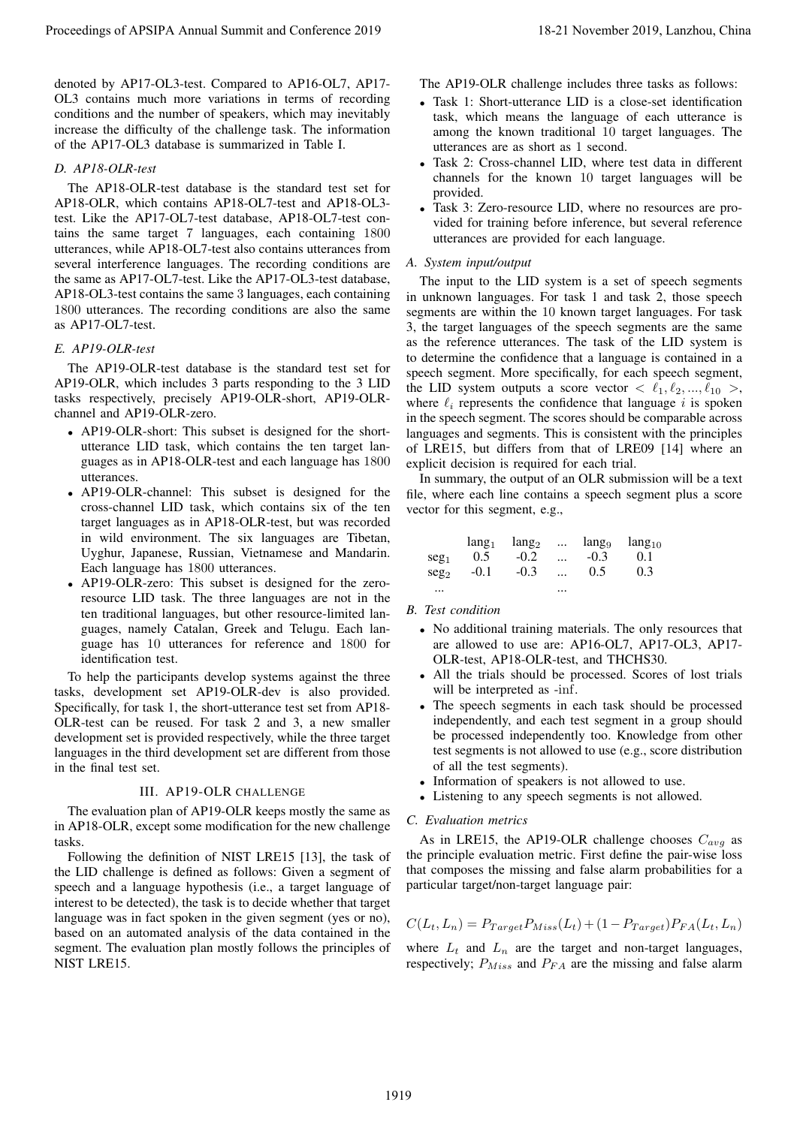denoted by AP17-OL3-test. Compared to AP16-OL7, AP17- OL3 contains much more variations in terms of recording conditions and the number of speakers, which may inevitably increase the difficulty of the challenge task. The information of the AP17-OL3 database is summarized in Table I.

# *D. AP18-OLR-test*

The AP18-OLR-test database is the standard test set for AP18-OLR, which contains AP18-OL7-test and AP18-OL3 test. Like the AP17-OL7-test database, AP18-OL7-test contains the same target 7 languages, each containing 1800 utterances, while AP18-OL7-test also contains utterances from several interference languages. The recording conditions are the same as AP17-OL7-test. Like the AP17-OL3-test database, AP18-OL3-test contains the same 3 languages, each containing 1800 utterances. The recording conditions are also the same as AP17-OL7-test.

# *E. AP19-OLR-test*

The AP19-OLR-test database is the standard test set for AP19-OLR, which includes 3 parts responding to the 3 LID tasks respectively, precisely AP19-OLR-short, AP19-OLRchannel and AP19-OLR-zero.

- AP19-OLR-short: This subset is designed for the shortutterance LID task, which contains the ten target languages as in AP18-OLR-test and each language has 1800 utterances.
- AP19-OLR-channel: This subset is designed for the cross-channel LID task, which contains six of the ten target languages as in AP18-OLR-test, but was recorded in wild environment. The six languages are Tibetan, Uyghur, Japanese, Russian, Vietnamese and Mandarin. Each language has 1800 utterances.
- AP19-OLR-zero: This subset is designed for the zeroresource LID task. The three languages are not in the ten traditional languages, but other resource-limited languages, namely Catalan, Greek and Telugu. Each language has 10 utterances for reference and 1800 for identification test.

To help the participants develop systems against the three tasks, development set AP19-OLR-dev is also provided. Specifically, for task 1, the short-utterance test set from AP18- OLR-test can be reused. For task 2 and 3, a new smaller development set is provided respectively, while the three target languages in the third development set are different from those in the final test set.

# III. AP19-OLR CHALLENGE

The evaluation plan of AP19-OLR keeps mostly the same as in AP18-OLR, except some modification for the new challenge tasks.

Following the definition of NIST LRE15 [13], the task of the LID challenge is defined as follows: Given a segment of speech and a language hypothesis (i.e., a target language of interest to be detected), the task is to decide whether that target language was in fact spoken in the given segment (yes or no), based on an automated analysis of the data contained in the segment. The evaluation plan mostly follows the principles of NIST LRE15.

The AP19-OLR challenge includes three tasks as follows:

- Task 1: Short-utterance LID is a close-set identification task, which means the language of each utterance is among the known traditional 10 target languages. The utterances are as short as 1 second.
- Task 2: Cross-channel LID, where test data in different channels for the known 10 target languages will be provided.
- Task 3: Zero-resource LID, where no resources are provided for training before inference, but several reference utterances are provided for each language.

### *A. System input/output*

The input to the LID system is a set of speech segments in unknown languages. For task 1 and task 2, those speech segments are within the 10 known target languages. For task 3, the target languages of the speech segments are the same as the reference utterances. The task of the LID system is to determine the confidence that a language is contained in a speech segment. More specifically, for each speech segment, the LID system outputs a score vector  $\langle \ell_1, \ell_2, ..., \ell_{10} \rangle$ , where  $\ell_i$  represents the confidence that language i is spoken in the speech segment. The scores should be comparable across languages and segments. This is consistent with the principles of LRE15, but differs from that of LRE09 [14] where an explicit decision is required for each trial. Proceedings of APSIPA Annual Summit at the Summit and The Summit and The Summit and The Summit and The Summit and The Summit and The Summit and The Summit and Conference 2019, Lanzhou, China 1919, Lanzhou, China 1919, Lan

In summary, the output of an OLR submission will be a text file, where each line contains a speech segment plus a score vector for this segment, e.g.,

|                  |        | $lang_1$ $lang_2$ $lang_9$ $lang_{10}$ |              |     |       |
|------------------|--------|----------------------------------------|--------------|-----|-------|
| seg <sub>1</sub> | 0.5    | $-0.2$ $-0.3$                          |              |     | (0.1) |
| seg <sub>2</sub> | $-0.1$ | $-0.3$                                 | $\mathbf{r}$ | 0.5 | 0.3   |
| $\cdots$         |        |                                        |              |     |       |

# *B. Test condition*

- No additional training materials. The only resources that are allowed to use are: AP16-OL7, AP17-OL3, AP17- OLR-test, AP18-OLR-test, and THCHS30.
- All the trials should be processed. Scores of lost trials will be interpreted as -inf.
- The speech segments in each task should be processed independently, and each test segment in a group should be processed independently too. Knowledge from other test segments is not allowed to use (e.g., score distribution of all the test segments).
- Information of speakers is not allowed to use.
- Listening to any speech segments is not allowed.

# *C. Evaluation metrics*

As in LRE15, the AP19-OLR challenge chooses  $C_{avg}$  as the principle evaluation metric. First define the pair-wise loss that composes the missing and false alarm probabilities for a particular target/non-target language pair:

$$
C(L_t, L_n) = P_{Target} P_{Miss}(L_t) + (1 - P_{Target}) P_{FA}(L_t, L_n)
$$

where  $L_t$  and  $L_n$  are the target and non-target languages, respectively;  $P_{Miss}$  and  $P_{FA}$  are the missing and false alarm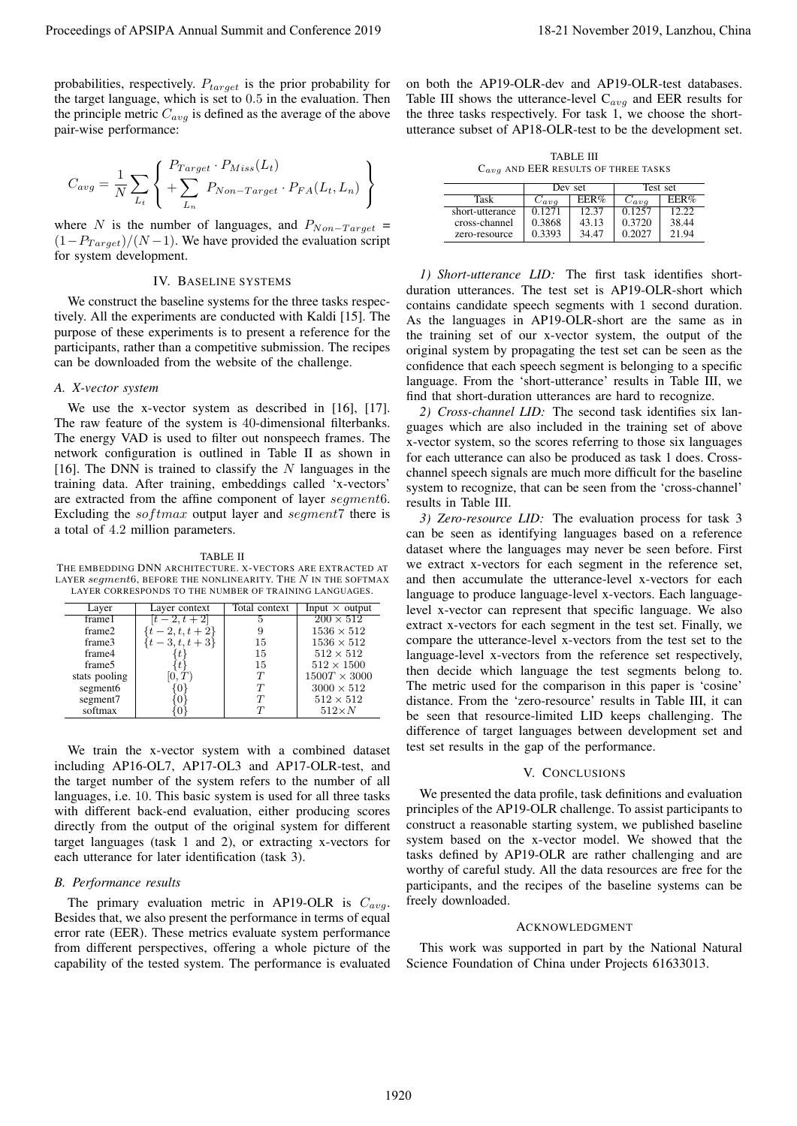probabilities, respectively.  $P_{target}$  is the prior probability for the target language, which is set to 0.5 in the evaluation. Then the principle metric  $C_{avg}$  is defined as the average of the above pair-wise performance:

$$
C_{avg} = \frac{1}{N} \sum_{L_t} \left\{ \frac{P_{Target} \cdot P_{Miss}(L_t)}{P_{Non-Target} \cdot P_{FA}(L_t, L_n)} \right\}
$$

where N is the number of languages, and  $P_{Non-Target}$  =  $(1-P_{Target})/(N-1)$ . We have provided the evaluation script for system development.

# IV. BASELINE SYSTEMS

We construct the baseline systems for the three tasks respectively. All the experiments are conducted with Kaldi [15]. The purpose of these experiments is to present a reference for the participants, rather than a competitive submission. The recipes can be downloaded from the website of the challenge.

#### *A. X-vector system*

We use the x-vector system as described in [16], [17]. The raw feature of the system is 40-dimensional filterbanks. The energy VAD is used to filter out nonspeech frames. The network configuration is outlined in Table II as shown in [16]. The DNN is trained to classify the  $N$  languages in the training data. After training, embeddings called 'x-vectors' are extracted from the affine component of layer segment6. Excluding the  $softmax$  output layer and segment7 there is a total of 4.2 million parameters.

#### TABLE II

THE EMBEDDING DNN ARCHITECTURE. X-VECTORS ARE EXTRACTED AT LAYER  $segment6$ , BEFORE THE NONLINEARITY. THE N IN THE SOFTMAX LAYER CORRESPONDS TO THE NUMBER OF TRAINING LANGUAGES.

| Layer                | Layer context     | Total context | Input $\times$ output      |
|----------------------|-------------------|---------------|----------------------------|
| frame1               | $[t-2, t+2]$      |               | $\overline{200\times 512}$ |
| frame2               | $t-2, t, t+2$     |               | $1536 \times 512$          |
| frame3               | $\{t-3, t, t+3\}$ | 15            | $1536 \times 512$          |
| frame4               |                   | 15            | $512 \times 512$           |
| frame <sub>5</sub>   |                   | 15            | $512 \times 1500$          |
| stats pooling        |                   | T             | $1500T \times 3000$        |
| segment <sub>6</sub> |                   | T             | $3000 \times 512$          |
| segment7             |                   | $\tau$        | $512 \times 512$           |
| softmax              |                   |               | $512\times N$              |

We train the x-vector system with a combined dataset including AP16-OL7, AP17-OL3 and AP17-OLR-test, and the target number of the system refers to the number of all languages, i.e. 10. This basic system is used for all three tasks with different back-end evaluation, either producing scores directly from the output of the original system for different target languages (task 1 and 2), or extracting x-vectors for each utterance for later identification (task 3).

# *B. Performance results*

The primary evaluation metric in AP19-OLR is  $C_{avg}$ . Besides that, we also present the performance in terms of equal error rate (EER). These metrics evaluate system performance from different perspectives, offering a whole picture of the capability of the tested system. The performance is evaluated

on both the AP19-OLR-dev and AP19-OLR-test databases. Table III shows the utterance-level  $C_{avg}$  and EER results for the three tasks respectively. For task 1, we choose the shortutterance subset of AP18-OLR-test to be the development set.

TABLE III  $C_{avg}$  AND EER RESULTS OF THREE TASKS

|                 | Dev set             |       | Test set     |       |
|-----------------|---------------------|-------|--------------|-------|
| Task            | $\vee$ ava          | EER%  | $\cup a v g$ | EER%  |
| short-utterance | $\overline{0}$ 1271 | 12.37 | በ 1257       | 1222  |
| cross-channel   | 0.3868              | 43.13 | 0.3720       | 38.44 |
| zero-resource   | 0.3393              | 34.47 | 0.2027       | 21.94 |

*1) Short-utterance LID:* The first task identifies shortduration utterances. The test set is AP19-OLR-short which contains candidate speech segments with 1 second duration. As the languages in AP19-OLR-short are the same as in the training set of our x-vector system, the output of the original system by propagating the test set can be seen as the confidence that each speech segment is belonging to a specific language. From the 'short-utterance' results in Table III, we find that short-duration utterances are hard to recognize.

*2) Cross-channel LID:* The second task identifies six languages which are also included in the training set of above x-vector system, so the scores referring to those six languages for each utterance can also be produced as task 1 does. Crosschannel speech signals are much more difficult for the baseline system to recognize, that can be seen from the 'cross-channel' results in Table III.

*3) Zero-resource LID:* The evaluation process for task 3 can be seen as identifying languages based on a reference dataset where the languages may never be seen before. First we extract x-vectors for each segment in the reference set, and then accumulate the utterance-level x-vectors for each language to produce language-level x-vectors. Each languagelevel x-vector can represent that specific language. We also extract x-vectors for each segment in the test set. Finally, we compare the utterance-level x-vectors from the test set to the language-level x-vectors from the reference set respectively, then decide which language the test segments belong to. The metric used for the comparison in this paper is 'cosine' distance. From the 'zero-resource' results in Table III, it can be seen that resource-limited LID keeps challenging. The difference of target languages between development set and test set results in the gap of the performance. Proceeding of APSIPA Annual Summit at China summit and Conference 2019 18-21 November 2019 18-21 November 2019 18-21 November 2019 18-21 November 2019 18-21 November 2019 18-21 November 2019 18-21 November 2019 18-21 Nove

#### V. CONCLUSIONS

We presented the data profile, task definitions and evaluation principles of the AP19-OLR challenge. To assist participants to construct a reasonable starting system, we published baseline system based on the x-vector model. We showed that the tasks defined by AP19-OLR are rather challenging and are worthy of careful study. All the data resources are free for the participants, and the recipes of the baseline systems can be freely downloaded.

#### ACKNOWLEDGMENT

This work was supported in part by the National Natural Science Foundation of China under Projects 61633013.